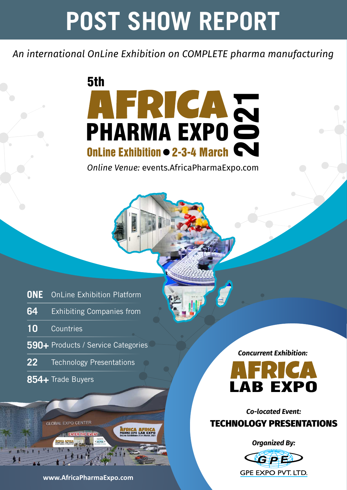# **POST SHOW REPORT**

*An international OnLine Exhibition on COMPLETE pharma manufacturing*



*Online Venue:* events.AfricaPharmaExpo.com

| <b>ONE</b> OnLine Exhibition Platform |
|---------------------------------------|
| 64 Exhibiting Companies from          |
| 10 Countries                          |
| 590+ Products / Service Categories    |
| 22 Technology Presentations           |

**854+** Trade Buyers



*Concurrent Exhibition:*



*Co-located Event:*  TECHNOLOGY PRESENTATIONS

*Organized By:*

GPE GPE EXPO PVT. LTD.

**www.AfricaPharmaExpo.com**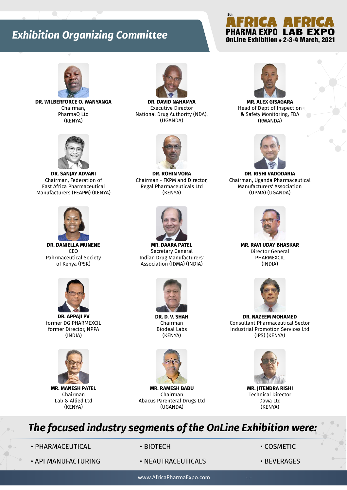#### **Exhibition Organizing Committee**



**DR. WILBERFORCE O. WANYANGA** Chairman, PharmaQ Ltd (KENYA)



**DR. SANJAY ADVANI** Chairman, Federation of East Africa Pharmaceutical Manufacturers (FEAPM) (KENYA)



**DR. DANIELLA MUNENE** CEO Pahrmaceutical Society of Kenya (PSK)



**DR. APPAJI PV** former DG PHARMEXCIL former Director, NPPA (INDIA)



**MR. MANESH PATEL** Chairman Lab & Allied Ltd (KENYA)



**DR. DAVID NAHAMYA** Executive Director National Drug Authority (NDA), (UGANDA)



**DR. ROHIN VORA** Chairman - FKPM and Director, Regal Pharmaceuticals Ltd (KENYA)



**MR. DAARA PATEL** Secretary General Indian Drug Manufacturers' Association (IDMA) (INDIA)



**DR. D. V. SHAH** Chairman Biodeal Labs (KENYA)



**MR. RAMESH BABU**  Chairman Abacus Parenteral Drugs Ltd (UGANDA)



**5th**

OnLine Exhibition . 2-3-4 March, 2021

**AFRICA AFRICA**<br>PHARMA EXPO LAB EXPO

**MR. ALEX GISAGARA** Head of Dept of Inspection & Safety Monitoring, FDA (RWANDA)



**DR. RISHI VADODARIA** Chairman, Uganda Pharmaceutical Manufacturers' Association (UPMA) (UGANDA)



**MR. RAVI UDAY BHASKAR** Director General PHARMEXCIL (INDIA)



**DR. NAZEEM MOHAMED** Consultant Pharmaceutical Sector Industrial Promotion Services Ltd (IPS) (KENYA)



**MR. JITENDRA RISHI** Technical Director Dawa Ltd (KENYA)

#### *The focused industry segments of the OnLine Exhibition were:*

• PHARMACEUTICAL • BIOTECH • COSMETIC

- API MANUFACTURING NEAUTRACEUTICALS BEVERAGES
- -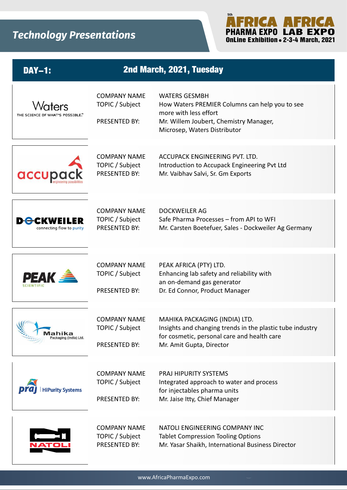

| <b>DAY-1:</b>                                   |                                                         | 2nd March, 2021, Tuesday                                                                                                                                                  |
|-------------------------------------------------|---------------------------------------------------------|---------------------------------------------------------------------------------------------------------------------------------------------------------------------------|
| Maters<br>THE SCIENCE OF WHAT'S POSSIBLE."      | <b>COMPANY NAME</b><br>TOPIC / Subject<br>PRESENTED BY: | <b>WATERS GESMBH</b><br>How Waters PREMIER Columns can help you to see<br>more with less effort<br>Mr. Willem Joubert, Chemistry Manager,<br>Microsep, Waters Distributor |
| accupa                                          | <b>COMPANY NAME</b><br>TOPIC / Subject<br>PRESENTED BY: | ACCUPACK ENGINEERING PVT. LTD.<br>Introduction to Accupack Engineering Pvt Ltd<br>Mr. Vaibhav Salvi, Sr. Gm Exports                                                       |
| <b>D</b> -CKWEILER<br>connecting flow to purity | <b>COMPANY NAME</b><br>TOPIC / Subject<br>PRESENTED BY: | DOCKWEILER AG<br>Safe Pharma Processes - from API to WFI<br>Mr. Carsten Boetefuer, Sales - Dockweiler Ag Germany                                                          |
| <b>PEAK</b>                                     | <b>COMPANY NAME</b><br>TOPIC / Subject<br>PRESENTED BY: | PEAK AFRICA (PTY) LTD.<br>Enhancing lab safety and reliability with<br>an on-demand gas generator<br>Dr. Ed Connor, Product Manager                                       |
| ahika<br>Packaging (India) Ltd.                 | <b>COMPANY NAME</b><br>TOPIC / Subject<br>PRESENTED BY: | MAHIKA PACKAGING (INDIA) LTD.<br>Insights and changing trends in the plastic tube industry<br>for cosmetic, personal care and health care<br>Mr. Amit Gupta, Director     |
| <b>HiPurity Systems</b>                         | <b>COMPANY NAME</b><br>TOPIC / Subject<br>PRESENTED BY: | <b>PRAJ HIPURITY SYSTEMS</b><br>Integrated approach to water and process<br>for injectables pharma units<br>Mr. Jaise Itty, Chief Manager                                 |
|                                                 | <b>COMPANY NAME</b><br>TOPIC / Subject<br>PRESENTED BY: | NATOLI ENGINEERING COMPANY INC<br><b>Tablet Compression Tooling Options</b><br>Mr. Yasar Shaikh, International Business Director                                          |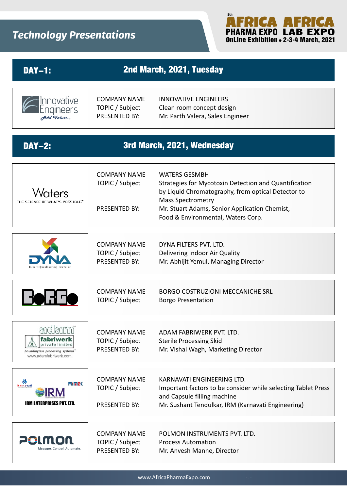

| <b>DAY-1:</b>                                                                                         |                                                                | 2nd March, 2021, Tuesday                                                                                                                                                                                                                               |  |  |
|-------------------------------------------------------------------------------------------------------|----------------------------------------------------------------|--------------------------------------------------------------------------------------------------------------------------------------------------------------------------------------------------------------------------------------------------------|--|--|
| Innovative<br><del>A</del> dd Values                                                                  | <b>COMPANY NAME</b><br>TOPIC / Subject<br>PRESENTED BY:        | <b>INNOVATIVE ENGINEERS</b><br>Clean room concept design<br>Mr. Parth Valera, Sales Engineer                                                                                                                                                           |  |  |
| 3rd March, 2021, Wednesday<br><b>DAY-2:</b>                                                           |                                                                |                                                                                                                                                                                                                                                        |  |  |
| nters<br>THE SCIENCE OF WHAT'S POSSIBLE."                                                             | <b>COMPANY NAME</b><br>TOPIC / Subject<br><b>PRESENTED BY:</b> | <b>WATERS GESMBH</b><br>Strategies for Mycotoxin Detection and Quantification<br>by Liquid Chromatography, from optical Detector to<br><b>Mass Spectrometry</b><br>Mr. Stuart Adams, Senior Application Chemist,<br>Food & Environmental, Waters Corp. |  |  |
|                                                                                                       | <b>COMPANY NAME</b><br>TOPIC / Subject<br>PRESENTED BY:        | DYNA FILTERS PVT. LTD.<br>Delivering Indoor Air Quality<br>Mr. Abhijit Yemul, Managing Director                                                                                                                                                        |  |  |
|                                                                                                       | <b>COMPANY NAME</b><br>TOPIC / Subject                         | <b>BORGO COSTRUZIONI MECCANICHE SRL</b><br><b>Borgo Presentation</b>                                                                                                                                                                                   |  |  |
| ही<br>dam<br>fabriwerk<br>private limited<br>boundaryless processing systems<br>www.adamfabriwerk.com | <b>COMPANY NAME</b><br>TOPIC / Subject<br>PRESENTED BY:        | ADAM FABRIWERK PVT. LTD.<br><b>Sterile Processing Skid</b><br>Mr. Vishal Wagh, Marketing Director                                                                                                                                                      |  |  |
| Karnavati<br>Rine<br>IRM<br><b>IRM ENTERPRISES PVT. LTD.</b>                                          | <b>COMPANY NAME</b><br>TOPIC / Subject<br><b>PRESENTED BY:</b> | KARNAVATI ENGINEERING LTD.<br>Important factors to be consider while selecting Tablet Press<br>and Capsule filling machine<br>Mr. Sushant Tendulkar, IRM (Karnavati Engineering)                                                                       |  |  |
| 20lmon<br>Measure. Control. Automate.                                                                 | <b>COMPANY NAME</b><br>TOPIC / Subject<br><b>PRESENTED BY:</b> | POLMON INSTRUMENTS PVT. LTD.<br><b>Process Automation</b><br>Mr. Anvesh Manne, Director                                                                                                                                                                |  |  |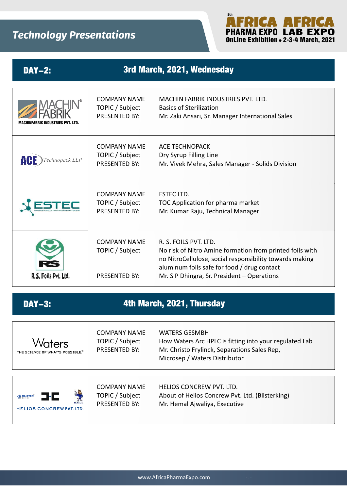

| <b>DAY-2:</b>               | 3rd March, 2021, Wednesday                                     |                                                                                                                                                                                                                                            |  |
|-----------------------------|----------------------------------------------------------------|--------------------------------------------------------------------------------------------------------------------------------------------------------------------------------------------------------------------------------------------|--|
| FABRIK INDUSTRIES PVT. LTD. | <b>COMPANY NAME</b><br>TOPIC / Subject<br>PRESENTED BY:        | <b>MACHIN FABRIK INDUSTRIES PVT. LTD.</b><br><b>Basics of Sterilization</b><br>Mr. Zaki Ansari, Sr. Manager International Sales                                                                                                            |  |
| chnopack LLP                | <b>COMPANY NAME</b><br>TOPIC / Subject<br>PRESENTED BY:        | <b>ACE TECHNOPACK</b><br>Dry Syrup Filling Line<br>Mr. Vivek Mehra, Sales Manager - Solids Division                                                                                                                                        |  |
|                             | <b>COMPANY NAME</b><br>TOPIC / Subject<br><b>PRESENTED BY:</b> | <b>ESTEC LTD.</b><br>TOC Application for pharma market<br>Mr. Kumar Raju, Technical Manager                                                                                                                                                |  |
| R.S. Foils Pvt. Ltd.        | <b>COMPANY NAME</b><br>TOPIC / Subject<br><b>PRESENTED BY:</b> | R. S. FOILS PVT. LTD.<br>No risk of Nitro Amine formation from printed foils with<br>no NitroCellulose, social responsibility towards making<br>aluminum foils safe for food / drug contact<br>Mr. S P Dhingra, Sr. President - Operations |  |

#### DAY-3: **4th March, 2021, Thursday**

| Waters<br>THE SCIENCE OF WHAT'S POSSIBLE." | <b>COMPANY NAME</b><br>TOPIC / Subject<br>PRESENTED BY: | <b>WATERS GESMBH</b><br>How Waters Arc HPLC is fitting into your regulated Lab<br>Mr. Christo Frylinck, Separations Sales Rep,<br>Microsep / Waters Distributor |
|--------------------------------------------|---------------------------------------------------------|-----------------------------------------------------------------------------------------------------------------------------------------------------------------|
| 3.C                                        | COMPANY NAME                                            | HELIOS CONCREW PVT. LTD.                                                                                                                                        |
| <b>BLISTER</b>                             | TOPIC / Subject                                         | About of Helios Concrew Pvt. Ltd. (Blisterking)                                                                                                                 |
| <b>HELIOS CONCREW PVT. LTD.</b>            | <b>PRESENTED BY:</b>                                    | Mr. Hemal Ajwaliya, Executive                                                                                                                                   |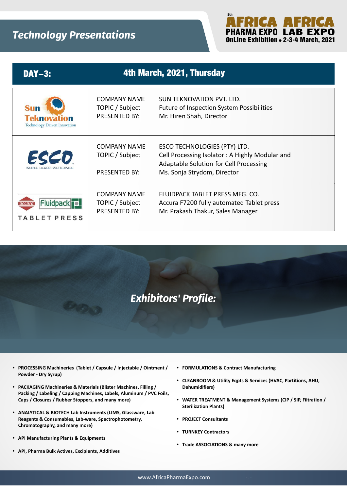

| <b>DAY-3:</b>                                             | 4th March, 2021, Thursday                                      |                                                                                                                                                         |
|-----------------------------------------------------------|----------------------------------------------------------------|---------------------------------------------------------------------------------------------------------------------------------------------------------|
| <b>Teknovation</b><br><b>Technology Driven Innovation</b> | COMPANY NAME<br>TOPIC / Subject<br><b>PRESENTED BY:</b>        | SUN TEKNOVATION PVT. LTD.<br><b>Future of Inspection System Possibilities</b><br>Mr. Hiren Shah, Director                                               |
| ECED<br>WORLD CLASS, WORLDWIDE                            | <b>COMPANY NAME</b><br>TOPIC / Subject<br><b>PRESENTED BY:</b> | ESCO TECHNOLOGIES (PTY) LTD.<br>Cell Processing Isolator: A Highly Modular and<br>Adaptable Solution for Cell Processing<br>Ms. Sonja Strydom, Director |
| <b>Fluidpack</b><br>TABLET PRESS                          | <b>COMPANY NAME</b><br>TOPIC / Subject<br>PRESENTED BY:        | FLUIDPACK TABLET PRESS MFG. CO.<br>Accura F7200 fully automated Tablet press<br>Mr. Prakash Thakur, Sales Manager                                       |



- **PROCESSING Machineries (Tablet / Capsule / Injectable / Ointment / Powder - Dry Syrup)**
- **PACKAGING Machineries & Materials (Blister Machines, Filling / Packing / Labeling / Capping Machines, Labels, Aluminum / PVC Foils, Caps / Closures / Rubber Stoppers, and many more)**
- **ANALYTICAL & BIOTECH Lab Instruments (LIMS, Glassware, Lab Reagents & Consumables, Lab-ware, Spectrophotometry, Chromatography, and many more)**
- **API Manufacturing Plants & Equipments**
- **API, Pharma Bulk Actives, Excipients, Additives**
- **FORMULATIONS & Contract Manufacturing**
- **CLEANROOM & Utility Eqpts & Services (HVAC, Partitions, AHU, Dehumidifiers)**
- WATER TREATMENT & Management Systems (CIP / SIP, Filtration / **Sterilization Plants)**
- **PROJECT Consultants**
- **TURNKEY Contractors**
- **Trade ASSOCIATIONS & many more**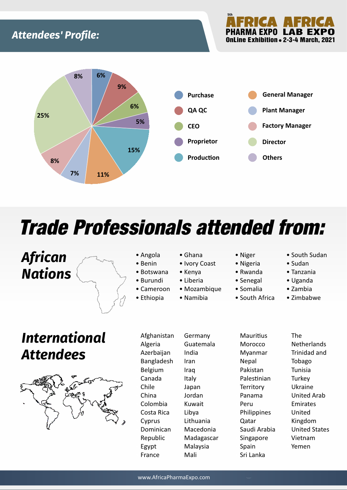#### **Attendees' Profile:**



## Trade Professionals attended from:

### *African Nations*



- Angola
- Benin • Botswana
- Burundi
- Cameroon
- Ethiopia
- Ghana
- Ivory Coast
- Kenya
- Liberia
- Mozambique
- Namibia
- Niger
- Nigeria
- Rwanda
- Senegal
- Somalia
- South Africa
- South Sudan
- Sudan
- Tanzania
- Uganda
- Zambia
- Zimbabwe

## *International Attendees*



• Afghanistan • Algeria • Azerbaijan **Bangladesh** • Belgium • Canada • Chile • China • Colombia • Costa Rica **Cyprus** • Dominican Republic • Egypt **France** 

**Germany** • Guatemala • India • Iran • Iraq **Italy** • Japan • Jordan • Kuwait • Libya **Lithuania** • Macedonia **Madagascar** • Malaysia • Mali

**Mauritius Morocco** • Myanmar **Nepal** • Pakistan Palestinian **Territory** • Panama • Peru **Philippines** • Qatar • Saudi Arabia **Singapore Spain** • Sri Lanka

• The **Netherlands** • Trinidad and Tobago **Tunisia Turkey** • Ukraine • United Arab Emirates • United Kingdom **United States** • Vietnam • Yemen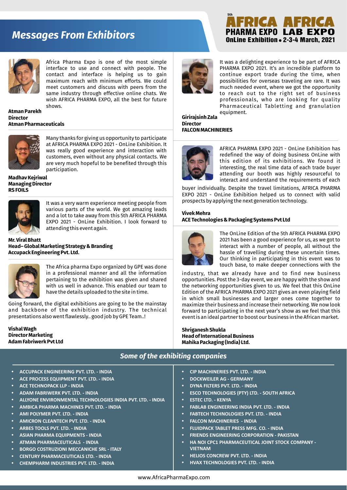#### **Messages From Exhibitors**



Africa Pharma Expo is one of the most simple interface to use and connect with people. The contact and interface is helping us to gain maximum reach with minimum efforts. We could meet customers and discuss with peers from the same industry through effective online chats. We wish AFRICA PHARMA EXPO, all the best for future shows.

**Atman Parekh Director Atman Pharmaceuticals**



Many thanks for giving us opportunity to participate at AFRICA PHARMA EXPO 2021 - OnLine Exhibition. It was really good experience and interaction with customers, even without any physical contacts. We are very much hopeful to be benefited through this participation.

**Madhav Kejriwal Managing Director RS FOILS**



It was a very warm experience meeting people from various parts of the world. We got amazing leads and a lot to take away from this 5th AFRICA PHARMA EXPO 2021 - OnLine Exhibition. I look forward to attending this event again.

**Mr. Viral Bhatt Head– Global Marketing Strategy & Branding Accupack Engineering Pvt. Ltd.**



The Africa pharma Expo organized by GPE was done in a professional manner and all the information pertaining to the exhibition was given and shared with us well in advance. This enabled our team to have the details uploaded to the site in time.

Going forward, the digital exhibitions are going to be the mainstay and backbone of the exhibition industry. The technical presentations also went flawlessly.. good job by GPE Team..!

**Vishal Wagh Director Marketing Adam Fabriwerk Pvt Ltd** 



It was a delighting experience to be part of AFRICA PHARMA EXPO 2021. It's an incredible platform to continue export trade during the time, when possibilities for overseas traveling are rare. It was much needed event, where we got the opportunity to reach out to the right set of business professionals, who are looking for quality Pharmaceutical Tabletting and granulation equipment.

OnLine Exhibition . 2-3-4 March, 2021 PHARMA EXPO LAB EXPO

**Girirajsinh Zala Director FALCON MACHINERIES**

**5th**



AFRICA PHARMA EXPO 2021 - OnLine Exhibition has redefined the way of doing business OnLine with this edition of its exhibitions. We found it interesting, the real time data of each trade buyer attending our booth was highly resourceful to interact and understand the requirements of each

buyer individually. Despite the travel limitations, AFRICA PHARMA EXPO 2021 - OnLine Exhibition helped us to connect with valid prospects by applying the next generation technology.

#### **Vivek Mehra ACE Technologies & Packaging Systems Pvt Ltd**



The OnLine Edition of the 5th AFRICA PHARMA EXPO 2021 has been a good experience for us, as we got to interact with a number of people, all without the hassle of travelling during these uncertain times. Our thinking in participating in this event was to touch base, to make deeper connections with the

industry, that we already have and to find new business opportunities. Post the 3-day event, we are happy with the show and the networking opportunities given to us. We feel that this OnLine Edition of the AFRICA PHARMA EXPO 2021 gives an even playing field in which small businesses and larger ones come together to maximize their business and increase their networking. We now look forward to participating in the next year's show as we feel that this event is an ideal partner to boost our business in the African market.

**Shriganesh Shukla Head of International Business Mahika Packaging (India) Ltd.**

#### *Some of the exhibiting companies*

- Ÿ **ACCUPACK ENGINEERING PVT. LTD. INDIA**
- **ACE PROCESS EQUIPMENT PVT. LTD. INDIA**
- **ACE TECHNOPACK LLP INDIA**
- **ADAM FABRIWERK PVT. LTD. INDIA**
- **ALLYONE ENVIRONMENTAL TECHNOLOGIES INDIA PVT. LTD. INDIA**
- Ÿ **AMBICA PHARMA MACHINES PVT. LTD. INDIA**
- **AMI POLYMER PVT. LTD. INDIA**
- **AMICRON CLEANTECH PVT. LTD. INDIA**
- Ÿ **ARBES TOOLS PVT. LTD. INDIA**
- **ASIAN PHARMA EQUIPMENTS INDIA**
- **ATMAN PHARMACEUTICALS INDIA**
- **BORGO COSTRUZIONI MECCANICHE SRL ITALY**
- **CENTURY PHARMACEUTICALS LTD. INDIA**
- Ÿ **CHEMPHARM INDUSTRIES PVT. LTD. INDIA**
- Ÿ **CIP MACHINERIES PVT. LTD. INDIA**
- **DOCKWEILER AG GERMANY**
- Ÿ **DYNA FILTERS PVT. LTD. INDIA**
- **ESCO TECHNOLOGIES (PTY) LTD. SOUTH AFRICA**
- **ESTEC LTD. KENYA**
- Ÿ **FABLAB ENGINEERING INDIA PVT. LTD. INDIA**
- **FABTECH TECHNOLOGIES PVT. LTD. INDIA**
- **FALCON MACHINERIES INDIA**
- **FLUIDPACK TABLET PRESS MFG. CO. INDIA**
- **FRIENDS ENGINEERING CORPORATION PAKISTAN**
- **HA NOI CPC1 PHARMACEUTICAL JOINT STOCK COMPANY -VIETNAM**
- **HELIOS CONCREW PVT. LTD. INDIA**
- **HVAX TECHNOLOGIES PVT. LTD. INDIA**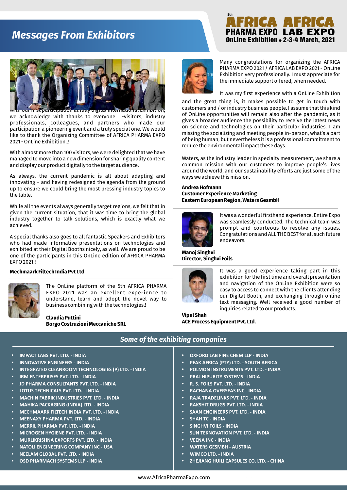#### **Messages From Exhibitors**

#### OnLine Exhibition . 2-3-4 March, 2021 PHARMA EXPO LAB EXPO **5th**



ion at fully digital internatio we acknowledge with thanks to everyone -visitors, industry professionals, colleagues, and partners who made our participation a pioneering event and a truly special one. We would like to thank the Organizing Committee of AFRICA PHARMA EXPO 2021 - OnLine Exhibition..!

With almost more than 100 visitors, we were delighted that we have managed to move into a new dimension for sharing quality content and display our product digitally to the target audience.

As always, the current pandemic is all about adapting and innovating – and having redesigned the agenda from the ground up to ensure we could bring the most pressing industry topics to the table.

While all the events always generally target regions, we felt that in given the current situation, that it was time to bring the global industry together to talk solutions, which is exactly what we achieved.

A special thanks also goes to all fantastic Speakers and Exhibitors who had made informative presentations on technologies and exhibited at their Digital Booths nicely, as well. We are proud to be one of the participants in this OnLine edition of AFRICA PHARMA EXPO 2021.!



The OnLine platform of the 5th AFRICA PHARMA EXPO 2021 was an excellent experience to understand, learn and adopt the novel way to business combining with the technologies.!

**Claudia Puttini Borgo Costruzioni Meccaniche SRL**



Many congratulations for organizing the AFRICA PHARMA EXPO 2021 / AFRICA LAB EXPO 2021 - OnLine Exhibition very professionally. I must appreciate for the immediate support offered, when needed.

It was my first experience with a OnLine Exhibition

and the great thing is, it makes possible to get in touch with customers and / or industry business people. I assume that this kind of OnLine opportunities will remain also after the pandemic, as it gives a broader audience the possibility to receive the latest news on science and technologies on their particular industries. I am missing the socializing and meeting people in-person, what's a part of being human, but nevertheless it is a professional commitment to reduce the environmental impact these days.

Waters, as the industry leader in specialty measurement, we share a common mission with our customers to improve people's lives around the world, and our sustainability efforts are just some of the ways we achieve this mission.

#### **Andrea Hofmann Customer Experience Marketing Eastern European Region, Waters GesmbH**



It was a wonderful firsthand experience. Entire Expo was seamlessly conducted. The technical team was prompt and courteous to resolve any issues. Congratulations and ALL THE BEST for all such future endeavors.

**Manoj Singhvi Director, Singhvi Foils**



**Mechmaark Filtech India Pvt Ltd** It was a good experience taking part in this exhibition for the first time and overall presentation and navigation of the OnLine Exhibition were so easy to access to connect with the clients attending our Digital Booth, and exchanging through online text messaging. Well received a good number of inquiries related to our products.

> **Vipul Shah ACE Process Equipment Pvt. Ltd.**

#### **IMPACT LABS PVT. LTD. - INDIA INNOVATIVE ENGINEERS - INDIA INTEGRATED CLEANROOM TECHNOLOGIES (P) LTD. - INDIA IRM ENTERPRISES PVT. LTD. - INDIA JD PHARMA CONSULTANTS PVT. LTD. - INDIA LOTUS TECHNICALS PVT. LTD. - INDIA MACHIN FABRIK INDUSTRIES PVT. LTD. - INDIA** Ÿ **MAHIKA PACKAGING (INDIA) LTD. - INDIA** Ÿ **MECHMAARK FILTECH INDIA PVT. LTD. - INDIA** Ÿ **MEENAXY PHARMA PVT. LTD. - INDIA MERRIL PHARMA PVT. LTD. - INDIA MICROGEN HYGIENE PVT. LTD. - INDIA** Ÿ **MURLIKRISHNA EXPORTS PVT. LTD. - INDIA SHAH TC - INDIA**

- **NATOLI ENGINEERING COMPANY INC USA**
- **NEELAM GLOBAL PVT. LTD. INDIA**
- **OSD PHARMACH SYSTEMS LLP INDIA**
- **OXFORD LAB FINE CHEM LLP INDIA**
- **PEAK AFRICA (PTY) LTD. SOUTH AFRICA**
- **POLMON INSTRUMENTS PVT. LTD. INDIA**
- **PRAJ HIPURITY SYSTEMS INDIA**
- Ÿ **R. S. FOILS PVT. LTD. INDIA**
- **RACHANA OVERSEAS INC INDIA**
- **RAJA TRADELINKS PVT. LTD. INDIA**
- **RAKSHIT DRUGS PVT. LTD. INDIA**
- **SAAN ENGINEERS PVT. LTD. INDIA**
- 
- **SINGHVI FOILS INDIA**
- **SUN TEKNOVATION PVT. LTD. INDIA**
- Ÿ **VEENA INC INDIA**
- **WATERS GESMBH AUSTRIA**
- **WIMCO LTD. INDIA**
- **ZHEJIANG HUILI CAPSULES CO. LTD. CHINA**

*Some of the exhibiting companies*